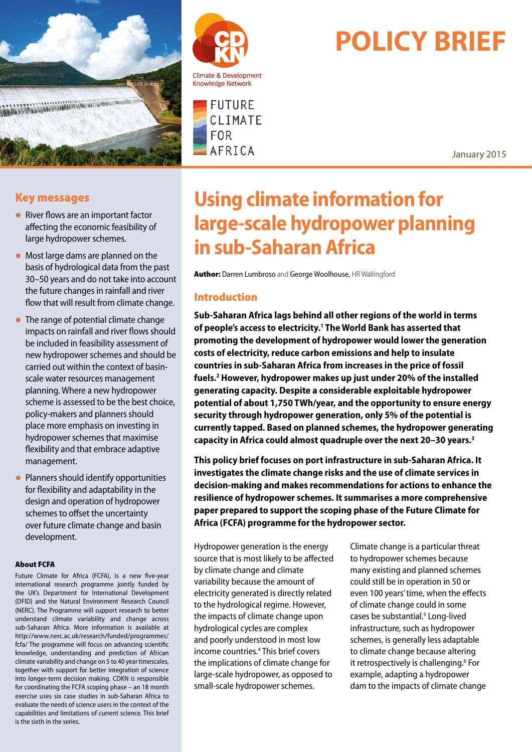



**FUTURF** CLIMATE

AFRICA

F<sub>0</sub>R

# **POLICY BRIEF**

January 2015

# Key messages

- $\bullet$  River flows are an important factor affecting the economic feasibility of large hydropower schemes.
- $\bullet$  Most large dams are planned on the basis of hydrological data from the past 30–50 years and do not take into account the future changes in rainfall and river flow that will result from climate change.
- $\bullet$  The range of potential climate change impacts on rainfall and river flows should be included in feasibility assessment of new hydropower schemes and should be carried out within the context of basinscale water resources management planning. Where a new hydropower scheme is assessed to be the best choice, policy-makers and planners should place more emphasis on investing in hydropower schemes that maximise flexibility and that embrace adaptive management.
- **Planners should identify opportunities** for flexibility and adaptability in the design and operation of hydropower schemes to offset the uncertainty over future climate change and basin development.

#### About FCFA

Future Climate for Africa (FCFA), is a new five-year international research programme jointly funded by the UK's Department for International Development (DFID) and the Natural Environment Research Council (NERC). The Programme will support research to better understand climate variability and change across sub-Saharan Africa. More information is available at http://www.nerc.ac.uk/research/funded/programmes/ fcfa/ The programme will focus on advancing scientific knowledge, understanding and prediction of African climate variability and change on 5 to 40 year timescales, together with support for better integration of science into longer-term decision making. CDKN is responsible for coordinating the FCFA scoping phase – an 18 month exercise uses six case studies in sub-Saharan Africa to evaluate the needs of science users in the context of the capabilities and limitations of current science. This brief is the sixth in the series.

# **Using climate information for large-scale hydropower planning in sub-Saharan Africa**

Author: Darren Lumbroso and George Woolhouse, HR Wallingford

# Introduction

**Sub-Saharan Africa lags behind all other regions of the world in terms of people's access to electricity.1 The World Bank has asserted that promoting the development of hydropower would lower the generation costs of electricity, reduce carbon emissions and help to insulate countries in sub-Saharan Africa from increases in the price of fossil fuels.2 However, hydropower makes up just under 20% of the installed generating capacity. Despite a considerable exploitable hydropower potential of about 1,750 TWh/year, and the opportunity to ensure energy security through hydropower generation, only 5% of the potential is currently tapped. Based on planned schemes, the hydropower generating capacity in Africa could almost quadruple over the next 20–30 years.3**

**This policy brief focuses on port infrastructure in sub-Saharan Africa. It investigates the climate change risks and the use of climate services in decision-making and makes recommendations for actions to enhance the resilience of hydropower schemes. It summarises a more comprehensive paper prepared to support the scoping phase of the Future Climate for Africa (FCFA) programme for the hydropower sector.**

Hydropower generation is the energy source that is most likely to be affected by climate change and climate variability because the amount of electricity generated is directly related to the hydrological regime. However, the impacts of climate change upon hydrological cycles are complex and poorly understood in most low income countries.4 This brief covers the implications of climate change for large-scale hydropower, as opposed to small-scale hydropower schemes.

Climate change is a particular threat to hydropower schemes because many existing and planned schemes could still be in operation in 50 or even 100 years' time, when the effects of climate change could in some cases be substantial.<sup>5</sup> Long-lived infrastructure, such as hydropower schemes, is generally less adaptable to climate change because altering it retrospectively is challenging.<sup>6</sup> For example, adapting a hydropower dam to the impacts of climate change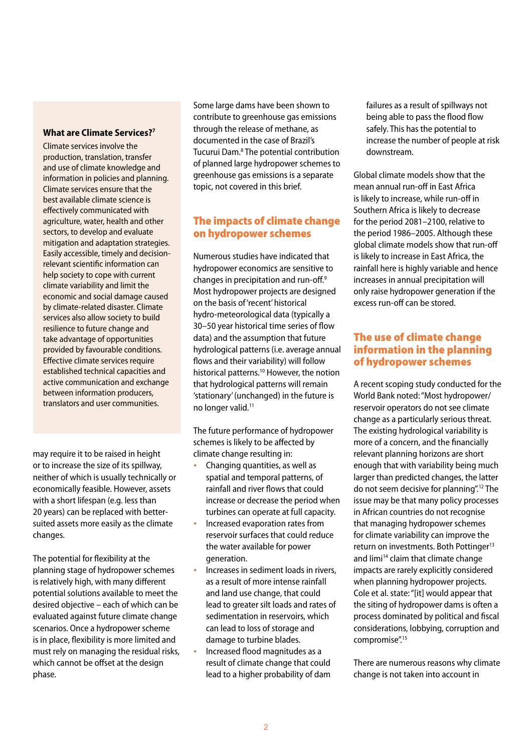#### **What are Climate Services?7**

Climate services involve the production, translation, transfer and use of climate knowledge and information in policies and planning. Climate services ensure that the best available climate science is effectively communicated with agriculture, water, health and other sectors, to develop and evaluate mitigation and adaptation strategies. Easily accessible, timely and decisionrelevant scientific information can help society to cope with current climate variability and limit the economic and social damage caused by climate-related disaster. Climate services also allow society to build resilience to future change and take advantage of opportunities provided by favourable conditions. Effective climate services require established technical capacities and active communication and exchange between information producers, translators and user communities.

may require it to be raised in height or to increase the size of its spillway, neither of which is usually technically or economically feasible. However, assets with a short lifespan (e.g. less than 20 years) can be replaced with bettersuited assets more easily as the climate changes.

The potential for flexibility at the planning stage of hydropower schemes is relatively high, with many different potential solutions available to meet the desired objective – each of which can be evaluated against future climate change scenarios. Once a hydropower scheme is in place, flexibility is more limited and must rely on managing the residual risks, which cannot be offset at the design phase.

Some large dams have been shown to contribute to greenhouse gas emissions through the release of methane, as documented in the case of Brazil's Tucurui Dam.<sup>8</sup> The potential contribution of planned large hydropower schemes to greenhouse gas emissions is a separate topic, not covered in this brief.

# The impacts of climate change on hydropower schemes

Numerous studies have indicated that hydropower economics are sensitive to changes in precipitation and run-off.9 Most hydropower projects are designed on the basis of 'recent' historical hydro-meteorological data (typically a 30–50 year historical time series of flow data) and the assumption that future hydrological patterns (i.e. average annual flows and their variability) will follow historical patterns.10 However, the notion that hydrological patterns will remain 'stationary' (unchanged) in the future is no longer valid.<sup>11</sup>

The future performance of hydropower schemes is likely to be affected by climate change resulting in:

- Changing quantities, as well as spatial and temporal patterns, of rainfall and river flows that could increase or decrease the period when turbines can operate at full capacity.
- Increased evaporation rates from reservoir surfaces that could reduce the water available for power generation.
- Increases in sediment loads in rivers, as a result of more intense rainfall and land use change, that could lead to greater silt loads and rates of sedimentation in reservoirs, which can lead to loss of storage and damage to turbine blades.
- Increased flood magnitudes as a result of climate change that could lead to a higher probability of dam

failures as a result of spillways not being able to pass the flood flow safely. This has the potential to increase the number of people at risk downstream.

Global climate models show that the mean annual run-off in East Africa is likely to increase, while run-off in Southern Africa is likely to decrease for the period 2081–2100, relative to the period 1986–2005. Although these global climate models show that run-off is likely to increase in East Africa, the rainfall here is highly variable and hence increases in annual precipitation will only raise hydropower generation if the excess run-off can be stored.

# The use of climate change information in the planning of hydropower schemes

A recent scoping study conducted for the World Bank noted: "Most hydropower/ reservoir operators do not see climate change as a particularly serious threat. The existing hydrological variability is more of a concern, and the financially relevant planning horizons are short enough that with variability being much larger than predicted changes, the latter do not seem decisive for planning".12 The issue may be that many policy processes in African countries do not recognise that managing hydropower schemes for climate variability can improve the return on investments. Both Pottinger<sup>13</sup> and limi<sup>14</sup> claim that climate change impacts are rarely explicitly considered when planning hydropower projects. Cole et al. state: "[it] would appear that the siting of hydropower dams is often a process dominated by political and fiscal considerations, lobbying, corruption and compromise".15

There are numerous reasons why climate change is not taken into account in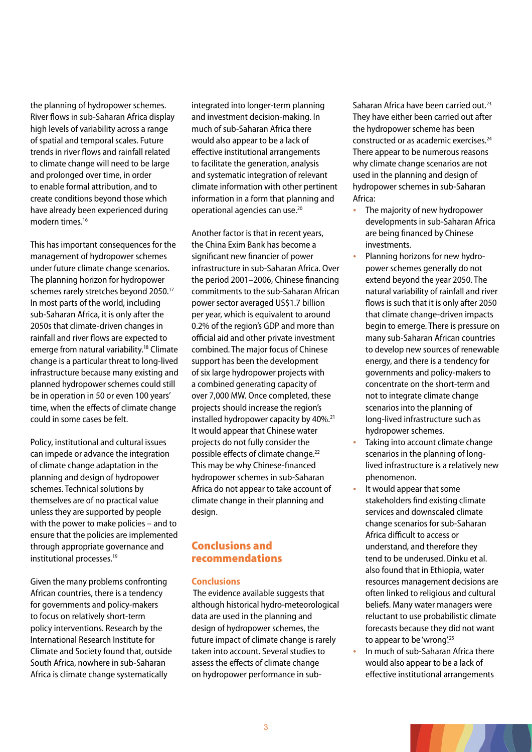the planning of hydropower schemes. River flows in sub-Saharan Africa display high levels of variability across a range of spatial and temporal scales. Future trends in river flows and rainfall related to climate change will need to be large and prolonged over time, in order to enable formal attribution, and to create conditions beyond those which have already been experienced during modern times.16

This has important consequences for the management of hydropower schemes under future climate change scenarios. The planning horizon for hydropower schemes rarely stretches beyond 2050.17 In most parts of the world, including sub-Saharan Africa, it is only after the 2050s that climate-driven changes in rainfall and river flows are expected to emerge from natural variability.18 Climate change is a particular threat to long-lived infrastructure because many existing and planned hydropower schemes could still be in operation in 50 or even 100 years' time, when the effects of climate change could in some cases be felt.

Policy, institutional and cultural issues can impede or advance the integration of climate change adaptation in the planning and design of hydropower schemes. Technical solutions by themselves are of no practical value unless they are supported by people with the power to make policies – and to ensure that the policies are implemented through appropriate governance and institutional processes.19

Given the many problems confronting African countries, there is a tendency for governments and policy-makers to focus on relatively short-term policy interventions. Research by the International Research Institute for Climate and Society found that, outside South Africa, nowhere in sub-Saharan Africa is climate change systematically

integrated into longer-term planning and investment decision-making. In much of sub-Saharan Africa there would also appear to be a lack of effective institutional arrangements to facilitate the generation, analysis and systematic integration of relevant climate information with other pertinent information in a form that planning and operational agencies can use.20

Another factor is that in recent years, the China Exim Bank has become a significant new financier of power infrastructure in sub-Saharan Africa. Over the period 2001–2006, Chinese financing commitments to the sub-Saharan African power sector averaged US\$1.7 billion per year, which is equivalent to around 0.2% of the region's GDP and more than official aid and other private investment combined. The major focus of Chinese support has been the development of six large hydropower projects with a combined generating capacity of over 7,000 MW. Once completed, these projects should increase the region's installed hydropower capacity by 40%.<sup>21</sup> It would appear that Chinese water projects do not fully consider the possible effects of climate change.<sup>22</sup> This may be why Chinese-financed hydropower schemes in sub-Saharan Africa do not appear to take account of climate change in their planning and design.

### Conclusions and recommendations

#### **Conclusions**

 The evidence available suggests that although historical hydro-meteorological data are used in the planning and design of hydropower schemes, the future impact of climate change is rarely taken into account. Several studies to assess the effects of climate change on hydropower performance in subSaharan Africa have been carried out.<sup>23</sup> They have either been carried out after the hydropower scheme has been constructed or as academic exercises.24 There appear to be numerous reasons why climate change scenarios are not used in the planning and design of hydropower schemes in sub-Saharan Africa:

- The majority of new hydropower developments in sub-Saharan Africa are being financed by Chinese investments.
- Planning horizons for new hydropower schemes generally do not extend beyond the year 2050. The natural variability of rainfall and river flows is such that it is only after 2050 that climate change-driven impacts begin to emerge. There is pressure on many sub-Saharan African countries to develop new sources of renewable energy, and there is a tendency for governments and policy-makers to concentrate on the short-term and not to integrate climate change scenarios into the planning of long-lived infrastructure such as hydropower schemes.
- Taking into account climate change scenarios in the planning of longlived infrastructure is a relatively new phenomenon.
- It would appear that some stakeholders find existing climate services and downscaled climate change scenarios for sub-Saharan Africa difficult to access or understand, and therefore they tend to be underused. Dinku et al. also found that in Ethiopia, water resources management decisions are often linked to religious and cultural beliefs. Many water managers were reluctant to use probabilistic climate forecasts because they did not want to appear to be 'wrong'.<sup>25</sup>
- In much of sub-Saharan Africa there would also appear to be a lack of effective institutional arrangements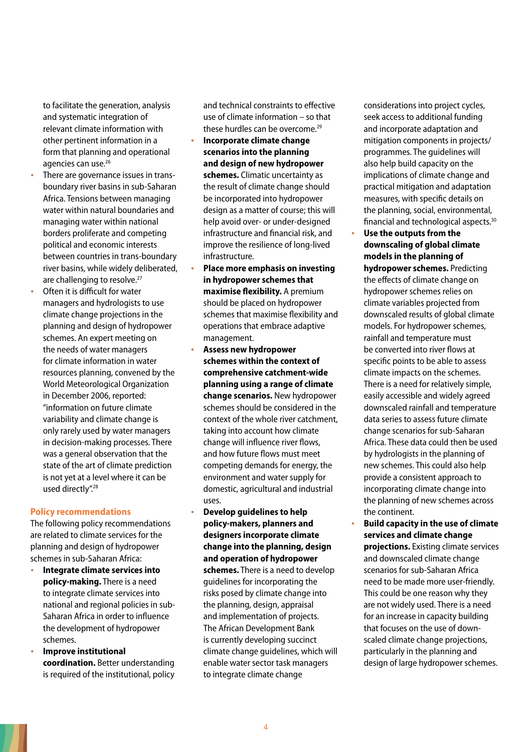to facilitate the generation, analysis and systematic integration of relevant climate information with other pertinent information in a form that planning and operational agencies can use.<sup>26</sup>

- There are governance issues in transboundary river basins in sub-Saharan Africa. Tensions between managing water within natural boundaries and managing water within national borders proliferate and competing political and economic interests between countries in trans-boundary river basins, while widely deliberated, are challenging to resolve.<sup>27</sup>
- Often it is difficult for water managers and hydrologists to use climate change projections in the planning and design of hydropower schemes. An expert meeting on the needs of water managers for climate information in water resources planning, convened by the World Meteorological Organization in December 2006, reported: "information on future climate variability and climate change is only rarely used by water managers in decision-making processes. There was a general observation that the state of the art of climate prediction is not yet at a level where it can be used directly".<sup>28</sup>

#### **Policy recommendations**

The following policy recommendations are related to climate services for the planning and design of hydropower schemes in sub-Saharan Africa:

- **Integrate climate services into policy-making.** There is a need to integrate climate services into national and regional policies in sub-Saharan Africa in order to influence the development of hydropower schemes.
- **Improve institutional coordination.** Better understanding is required of the institutional, policy

and technical constraints to effective use of climate information – so that these hurdles can be overcome.<sup>29</sup>

- **Incorporate climate change scenarios into the planning and design of new hydropower schemes.** Climatic uncertainty as the result of climate change should be incorporated into hydropower design as a matter of course; this will help avoid over- or under-designed infrastructure and financial risk, and improve the resilience of long-lived infrastructure.
- **Place more emphasis on investing in hydropower schemes that maximise flexibility.** A premium should be placed on hydropower schemes that maximise flexibility and operations that embrace adaptive management.
- **Assess new hydropower schemes within the context of comprehensive catchment-wide planning using a range of climate change scenarios.** New hydropower schemes should be considered in the context of the whole river catchment, taking into account how climate change will influence river flows, and how future flows must meet competing demands for energy, the environment and water supply for domestic, agricultural and industrial uses.
- **Develop guidelines to help policy-makers, planners and designers incorporate climate change into the planning, design and operation of hydropower schemes.** There is a need to develop guidelines for incorporating the risks posed by climate change into the planning, design, appraisal and implementation of projects. The African Development Bank is currently developing succinct climate change guidelines, which will enable water sector task managers to integrate climate change

considerations into project cycles, seek access to additional funding and incorporate adaptation and mitigation components in projects/ programmes. The guidelines will also help build capacity on the implications of climate change and practical mitigation and adaptation measures, with specific details on the planning, social, environmental, financial and technological aspects.30

- **Use the outputs from the downscaling of global climate models in the planning of hydropower schemes.** Predicting the effects of climate change on hydropower schemes relies on climate variables projected from downscaled results of global climate models. For hydropower schemes, rainfall and temperature must be converted into river flows at specific points to be able to assess climate impacts on the schemes. There is a need for relatively simple, easily accessible and widely agreed downscaled rainfall and temperature data series to assess future climate change scenarios for sub-Saharan Africa. These data could then be used by hydrologists in the planning of new schemes. This could also help provide a consistent approach to incorporating climate change into the planning of new schemes across the continent.
- **Build capacity in the use of climate services and climate change projections.** Existing climate services and downscaled climate change scenarios for sub-Saharan Africa need to be made more user-friendly. This could be one reason why they are not widely used. There is a need for an increase in capacity building that focuses on the use of downscaled climate change projections, particularly in the planning and design of large hydropower schemes.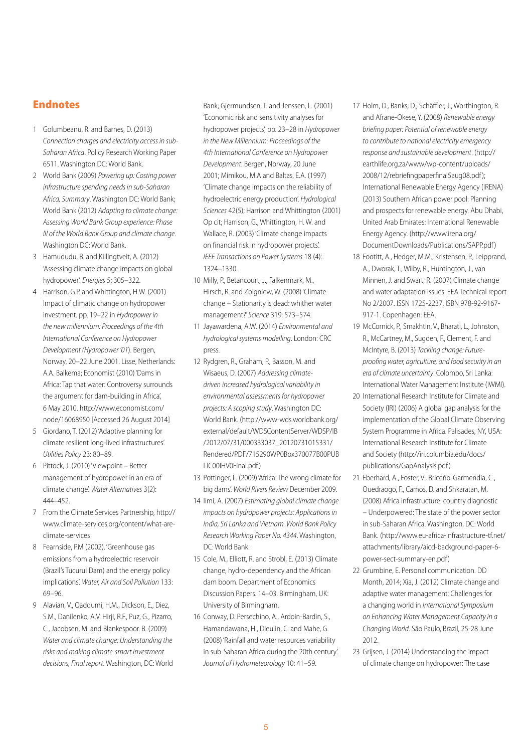#### **Endnotes**

- 1 Golumbeanu, R. and Barnes, D. (2013) *Connection charges and electricity access in sub-Saharan Africa*. Policy Research Working Paper 6511. Washington DC: World Bank.
- 2 World Bank (2009) *Powering up: Costing power infrastructure spending needs in sub-Saharan Africa, Summary*. Washington DC: World Bank; World Bank (2012) *Adapting to climate change: Assessing World Bank Group experience: Phase III of the World Bank Group and climate change*. Washington DC: World Bank.
- 3 Hamududu, B. and Killingtveit, A. (2012) 'Assessing climate change impacts on global hydropower'. *Energies* 5: 305–322.
- 4 Harrison, G.P. and Whittington, H.W. (2001) Impact of climatic change on hydropower investment. pp. 19–22 in *Hydropower in the new millennium: Proceedings of the 4th International Conference on Hydropower Development (Hydropower '01*). Bergen, Norway, 20–22 June 2001. Lisse, Netherlands: A.A. Balkema; Economist (2010) 'Dams in Africa: Tap that water: Controversy surrounds the argument for dam-building in Africa', 6 May 2010. http://www.economist.com/ node/16068950 [Accessed 26 August 2014]
- 5 Giordano, T. (2012) 'Adaptive planning for climate resilient long-lived infrastructures'. *Utilities Policy* 23: 80–89.
- 6 Pittock, J. (2010) 'Viewpoint Better management of hydropower in an era of climate change'. *Water Alternatives* 3(2): 444–452.
- 7 From the Climate Services Partnership, http:// www.climate-services.org/content/what-areclimate-services
- 8 Fearnside, P.M (2002). 'Greenhouse gas emissions from a hydroelectric reservoir (Brazil's Tucurui Dam) and the energy policy implications'. *Water, Air and Soil Pollution* 133: 69–96.
- 9 Alavian, V., Qaddumi, H.M., Dickson, E., Diez, S.M., Danilenko, A.V. Hirji, R.F., Puz, G., Pizarro, C., Jacobsen, M. and Blankespoor. B. (2009) *Water and climate change: Understanding the risks and making climate-smart investment decisions, Final report*. Washington, DC: World

Bank; Gjermundsen, T. and Jenssen, L. (2001) 'Economic risk and sensitivity analyses for hydropower projects', pp. 23–28 in *Hydropower in the New Millennium: Proceedings of the 4th International Conference on Hydropower Development*. Bergen, Norway, 20 June 2001; Mimikou, M.A and Baltas, E.A. (1997) 'Climate change impacts on the reliability of hydroelectric energy production'. *Hydrological Sciences* 42(5); Harrison and Whittington (2001) Op cit; Harrison, G., Whittington, H. W. and Wallace, R. (2003) 'Climate change impacts on financial risk in hydropower projects'. *IEEE Transactions on Power Systems* 18 (4): 1324–1330.

- 10 Milly, P., Betancourt, J., Falkenmark, M., Hirsch, R. and Zbigniew, W. (2008) 'Climate change – Stationarity is dead: whither water management?' *Science* 319: 573–574.
- 11 Jayawardena, A.W. (2014) *Environmental and hydrological systems modelling*. London: CRC press.
- 12 Rydgren, R., Graham, P., Basson, M. and Wisaeus, D. (2007) *Addressing climatedriven increased hydrological variability in environmental assessments for hydropower projects: A scoping study*. Washington DC: World Bank. (http://www-wds.worldbank.org/ external/default/WDSContentServer/WDSP/IB /2012/07/31/000333037\_20120731015331/ Rendered/PDF/715290WP0Box370077B00PUB LIC00IHV0Final.pdf)
- 13 Pottinger, L. (2009) 'Africa: The wrong climate for big dams'. *World Rivers Review* December 2009.
- 14 Iimi, A. (2007) *Estimating global climate change impacts on hydropower projects: Applications in India, Sri Lanka and Vietnam. World Bank Policy Research Working Paper No. 4344*. Washington, DC: World Bank.
- 15 Cole, M., Elliott, R. and Strobl, E. (2013) Climate change, hydro-dependency and the African dam boom. Department of Economics Discussion Papers. 14–03. Birmingham, UK: University of Birmingham.
- 16 Conway, D. Persechino, A., Ardoin-Bardin, S., Hamandawana, H., Dieulin, C. and Mahe, G. (2008) 'Rainfall and water resources variability in sub-Saharan Africa during the 20th century'. *Journal of Hydrometeorology* 10: 41–59.
- 17 Holm, D., Banks, D., Schäffler, J., Worthington, R. and Afrane-Okese, Y. (2008) *Renewable energy briefing paper: Potential of renewable energy to contribute to national electricity emergency response and sustainable development*. (http:// earthlife.org.za/www/wp-content/uploads/ 2008/12/rebriefingpaperfinal5aug08.pdf ); International Renewable Energy Agency (IRENA) (2013) Southern African power pool: Planning and prospects for renewable energy. Abu Dhabi, United Arab Emirates: International Renewable Energy Agency. (http://www.irena.org/ DocumentDownloads/Publications/SAPP.pdf )
- 18 Footitt, A., Hedger, M.M., Kristensen, P., Leipprand, A., Dworak, T., Wilby, R., Huntington, J., van Minnen, J. and Swart, R. (2007) Climate change and water adaptation issues. EEA Technical report No 2/2007. ISSN 1725-2237, ISBN 978-92-9167- 917-1. Copenhagen: EEA.
- 19 McCornick, P., Smakhtin, V., Bharati, L., Johnston, R., McCartney, M., Sugden, F., Clement, F. and McIntyre, B. (2013) *Tackling change: Futureproofing water, agriculture, and food security in an era of climate uncertainty*. Colombo, Sri Lanka: International Water Management Institute (IWMI).
- 20 International Research Institute for Climate and Society (IRI) (2006) A global gap analysis for the implementation of the Global Climate Observing System Programme in Africa. Palisades, NY, USA: International Research Institute for Climate and Society (http://iri.columbia.edu/docs/ publications/GapAnalysis.pdf )
- 21 Eberhard, A., Foster, V., Briceño-Garmendia, C., Ouedraogo, F., Camos, D. and Shkaratan, M. (2008) Africa infrastructure: country diagnostic – Underpowered: The state of the power sector in sub-Saharan Africa. Washington, DC: World Bank. (http://www.eu-africa-infrastructure-tf.net/ attachments/library/aicd-background-paper-6 power-sect-summary-en.pdf )
- 22 Grumbine, E. Personal communication. DD Month, 2014; Xia, J. (2012) Climate change and adaptive water management: Challenges for a changing world in *International Symposium on Enhancing Water Management Capacity in a Changing World*. São Paulo, Brazil, 25-28 June 2012.
- 23 Grijsen, J. (2014) Understanding the impact of climate change on hydropower: The case